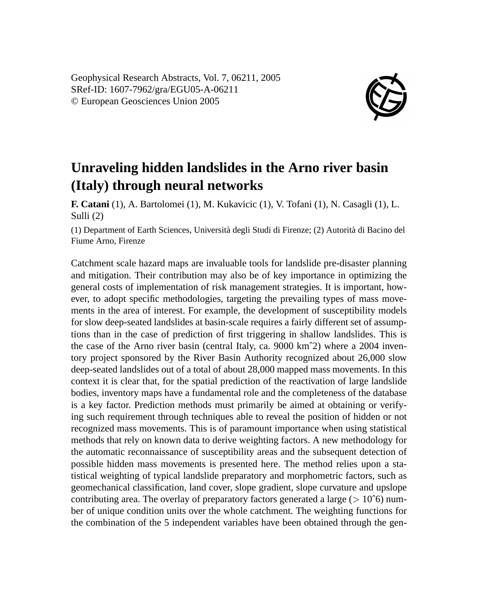Geophysical Research Abstracts, Vol. 7, 06211, 2005 SRef-ID: 1607-7962/gra/EGU05-A-06211 © European Geosciences Union 2005



## **Unraveling hidden landslides in the Arno river basin (Italy) through neural networks**

**F. Catani** (1), A. Bartolomei (1), M. Kukavicic (1), V. Tofani (1), N. Casagli (1), L. Sulli (2)

(1) Department of Earth Sciences, Università degli Studi di Firenze; (2) Autorità di Bacino del Fiume Arno, Firenze

Catchment scale hazard maps are invaluable tools for landslide pre-disaster planning and mitigation. Their contribution may also be of key importance in optimizing the general costs of implementation of risk management strategies. It is important, however, to adopt specific methodologies, targeting the prevailing types of mass movements in the area of interest. For example, the development of susceptibility models for slow deep-seated landslides at basin-scale requires a fairly different set of assumptions than in the case of prediction of first triggering in shallow landslides. This is the case of the Arno river basin (central Italy, ca. 9000 kmˆ2) where a 2004 inventory project sponsored by the River Basin Authority recognized about 26,000 slow deep-seated landslides out of a total of about 28,000 mapped mass movements. In this context it is clear that, for the spatial prediction of the reactivation of large landslide bodies, inventory maps have a fundamental role and the completeness of the database is a key factor. Prediction methods must primarily be aimed at obtaining or verifying such requirement through techniques able to reveal the position of hidden or not recognized mass movements. This is of paramount importance when using statistical methods that rely on known data to derive weighting factors. A new methodology for the automatic reconnaissance of susceptibility areas and the subsequent detection of possible hidden mass movements is presented here. The method relies upon a statistical weighting of typical landslide preparatory and morphometric factors, such as geomechanical classification, land cover, slope gradient, slope curvature and upslope contributing area. The overlay of preparatory factors generated a large ( $> 10^{\circ}$ 6) number of unique condition units over the whole catchment. The weighting functions for the combination of the 5 independent variables have been obtained through the gen